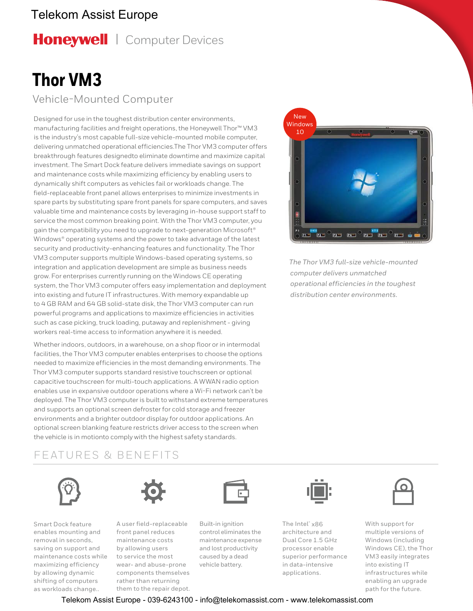## Telekom Assist Europe

Honeywell | Computer Devices

# **Thor VM3**

Vehicle-Mounted Computer

Designed for use in the toughest distribution center environments, manufacturing facilities and freight operations, the Honeywell Thor™ VM3 is the industry's most capable full-size vehicle-mounted mobile computer, delivering unmatched operational efficiencies.The Thor VM3 computer offers breakthrough features designedto eliminate downtime and maximize capital investment. The Smart Dock feature delivers immediate savings on support and maintenance costs while maximizing efficiency by enabling users to dynamically shift computers as vehicles fail or workloads change. The field-replaceable front panel allows enterprises to minimize investments in spare parts by substituting spare front panels for spare computers, and saves valuable time and maintenance costs by leveraging in-house support staff to service the most common breaking point. With the Thor VM3 computer, you gain the compatibility you need to upgrade to next-generation Microsoft® Windows® operating systems and the power to take advantage of the latest security and productivity-enhancing features and functionality. The Thor VM3 computer supports multiple Windows-based operating systems, so integration and application development are simple as business needs grow. For enterprises currently running on the Windows CE operating system, the Thor VM3 computer offers easy implementation and deployment into existing and future IT infrastructures. With memory expandable up to 4 GB RAM and 64 GB solid-state disk, the Thor VM3 computer can run powerful programs and applications to maximize efficiencies in activities such as case picking, truck loading, putaway and replenishment - giving workers real-time access to information anywhere it is needed.

Whether indoors, outdoors, in a warehouse, on a shop floor or in intermodal facilities, the Thor VM3 computer enables enterprises to choose the options needed to maximize efficiencies in the most demanding environments. The Thor VM3 computer supports standard resistive touchscreen or optional capacitive touchscreen for multi-touch applications. A WWAN radio option enables use in expansive outdoor operations where a Wi-Fi network can't be deployed. The Thor VM3 computer is built to withstand extreme temperatures and supports an optional screen defroster for cold storage and freezer environments and a brighter outdoor display for outdoor applications. An optional screen blanking feature restricts driver access to the screen when the vehicle is in motionto comply with the highest safety standards.

### FEATURES & BENEFITS





Smart Dock feature enables mounting and removal in seconds, saving on support and maintenance costs while maximizing efficiency by allowing dynamic shifting of computers as workloads change..



front panel reduces maintenance costs by allowing users to service the most wear- and abuse-prone components themselves rather than returning them to the repair depot.



Built-in ignition control eliminates the maintenance expense and lost productivity caused by a dead vehicle battery.



The Intel® x86 architecture and Dual Core 1.5 GHz processor enable superior performance in data-intensive applications.



*The Thor VM3 full-size vehicle-mounted computer delivers unmatched operational efficiencies in the toughest distribution center environments.*



With support for multiple versions of Windows (including Windows CE), the Thor VM3 easily integrates into existing IT infrastructures while enabling an upgrade path for the future.

Telekom Assist Europe - 039-6243100 - info@telekomassist.com - www.telekomassist.com